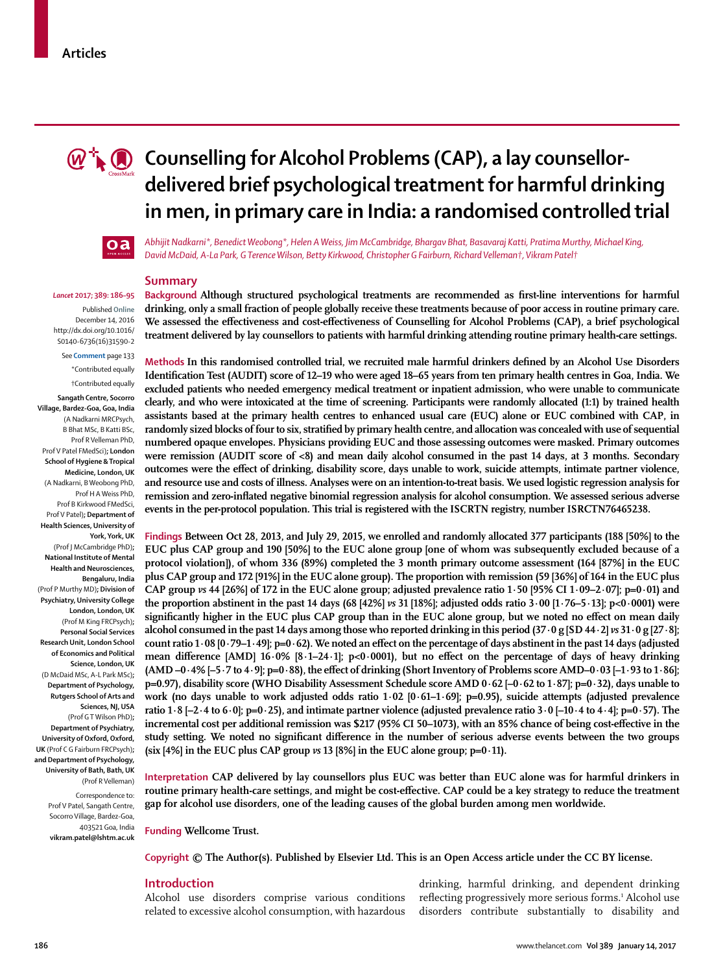

# **M**<sup>+</sup>**C** Counselling for Alcohol Problems (CAP), a lay counsellor**delivered brief psychological treatment for harmful drinking in men, in primary care in India: a randomised controlled trial**



*Abhijit Nadkarni\*, Benedict Weobong\*, Helen A Weiss, Jim McCambridge, Bhargav Bhat, Basavaraj Katti, Pratima Murthy, Michael King, David McDaid, A-La Park, G Terence Wilson, Betty Kirkwood, Christopher G Fairburn, Richard Velleman†, Vikram Patel†*

#### *Lancet* **2017; 389: 186–95**

Published **Online** December 14, 2016 http://dx.doi.org/10.1016/ S0140-6736(16)31590-2

See **Comment** page 133

\*Contributed equally †Contributed equally

**Sangath Centre, Socorro Village, Bardez-Goa, Goa, India**  (A Nadkarni MRCPsych, B Bhat MSc, B Katti BSc, Prof R Velleman PhD, Prof V Patel FMedSci)**; London School of Hygiene & Tropical Medicine, London, UK** (A Nadkarni, B Weobong PhD, Prof H A Weiss PhD, Prof B Kirkwood FMedSci, Prof V Patel)**; Department of Health Sciences, University of York, York, UK** (Prof J McCambridge PhD)**; National Institute of Mental Health and Neurosciences, Bengaluru, India**  (Prof P Murthy MD)**; Division of Psychiatry, University College London, London, UK** (Prof M King FRCPsych)**; Personal Social Services Research Unit, London School of Economics and Political Science, London, UK**  (D McDaid MSc, A-L Park MSc)**; Department of Psychology, Rutgers School of Arts and Sciences, NJ, USA** (Prof G T Wilson PhD)**; Department of Psychiatry, University of Oxford, Oxford, UK** (Prof C G Fairburn FRCPsych)**; and Department of Psychology, University of Bath, Bath, UK** (Prof R Velleman)

Correspondence to: Prof V Patel, Sangath Centre, Socorro Village, Bardez-Goa, 403521 Goa, India **vikram.patel@lshtm.ac.uk** 

## **Summary**

Background Although structured psychological treatments are recommended as first-line interventions for harmful **drinking, only a small fraction of people globally receive these treatments because of poor access in routine primary care.**  We assessed the effectiveness and cost-effectiveness of Counselling for Alcohol Problems (CAP), a brief psychological **treatment delivered by lay counsellors to patients with harmful drinking attending routine primary health-care settings.**

**Methods In this randomised controlled trial, we recruited male harmful drinkers defined by an Alcohol Use Disorders Identification Test (AUDIT) score of 12–19 who were aged 18–65 years from ten primary health centres in Goa, India. We excluded patients who needed emergency medical treatment or inpatient admission, who were unable to communicate clearly, and who were intoxicated at the time of screening. Participants were randomly allocated (1:1) by trained health assistants based at the primary health centres to enhanced usual care (EUC) alone or EUC combined with CAP, in**  randomly sized blocks of four to six, stratified by primary health centre, and allocation was concealed with use of sequential **numbered opaque envelopes. Physicians providing EUC and those assessing outcomes were masked. Primary outcomes were remission (AUDIT score of <8) and mean daily alcohol consumed in the past 14 days, at 3 months. Secondary**  outcomes were the effect of drinking, disability score, days unable to work, suicide attempts, intimate partner violence, **and resource use and costs of illness. Analyses were on an intention-to-treat basis. We used logistic regression analysis for**  remission and zero-inflated negative binomial regression analysis for alcohol consumption. We assessed serious adverse **events in the per-protocol population. This trial is registered with the ISCRTN registry, number ISRCTN76465238.** 

**Findings Between Oct 28, 2013, and July 29, 2015, we enrolled and randomly allocated 377 participants (188 [50%] to the EUC plus CAP group and 190 [50%] to the EUC alone group [one of whom was subsequently excluded because of a protocol violation]), of whom 336 (89%) completed the 3 month primary outcome assessment (164 [87%] in the EUC plus CAP group and 172 [91%] in the EUC alone group). The proportion with remission (59 [36%] of 164 in the EUC plus CAP group** *vs* **44 [26%] of 172 in the EUC alone group; adjusted prevalence ratio 1·50 [95% CI 1·09–2·07]; p=0·01) and the proportion abstinent in the past 14 days (68 [42%]** *vs* **31 [18%]; adjusted odds ratio 3·00 [1·76–5·13]; p<0·0001) were**  significantly higher in the EUC plus CAP group than in the EUC alone group, but we noted no effect on mean daily **alcohol consumed in the past 14 days among those who reported drinking in this period (37·0 g [SD 44·2]** *vs* **31·0 g [27·8];**  count ratio 1·08 [0·79–1·49]; p=0·62). We noted an effect on the percentage of days abstinent in the past 14 days (adjusted mean difference [AMD] 16·0% [8·1–24·1]; p<0·0001), but no effect on the percentage of days of heavy drinking  $(AMD - 0.4\% [-5.7 \text{ to } 4.9]; p=0.88)$ , the effect of drinking (Short Inventory of Problems score AMD $-0.03$  [-1.93 to 1.86]; **p=0.97), disability score (WHO Disability Assessment Schedule score AMD 0·62 [–0·62 to 1·87]; p=0·32), days unable to work (no days unable to work adjusted odds ratio 1·02 [0·61–1·69]; p=0.95), suicide attempts (adjusted prevalence ratio 1**·8  $[-2.4$  to 6·0];  $p=0.25$ ), and intimate partner violence (adjusted prevalence ratio  $3.0$   $[-10.4$  to  $4.4]$ ;  $p=0.57$ ). The incremental cost per additional remission was \$217 (95% CI 50–1073), with an 85% chance of being cost-effective in the study setting. We noted no significant difference in the number of serious adverse events between the two groups  $(\text{six } 4\%)$  in the EUC plus CAP group  $\nu$ s 13  $[8\%]$  in the EUC alone group;  $p=0.11$ ).

**Interpretation CAP delivered by lay counsellors plus EUC was better than EUC alone was for harmful drinkers in**  routine primary health-care settings, and might be cost-effective. CAP could be a key strategy to reduce the treatment **gap for alcohol use disorders, one of the leading causes of the global burden among men worldwide.**

**Funding Wellcome Trust.**

**Copyright © The Author(s). Published by Elsevier Ltd. This is an Open Access article under the CC BY license.**

#### **Introduction**

Alcohol use disorders comprise various conditions related to excessive alcohol consumption, with hazardous drinking, harmful drinking, and dependent drinking reflecting progressively more serious forms.<sup>1</sup> Alcohol use disorders contribute substantially to disability and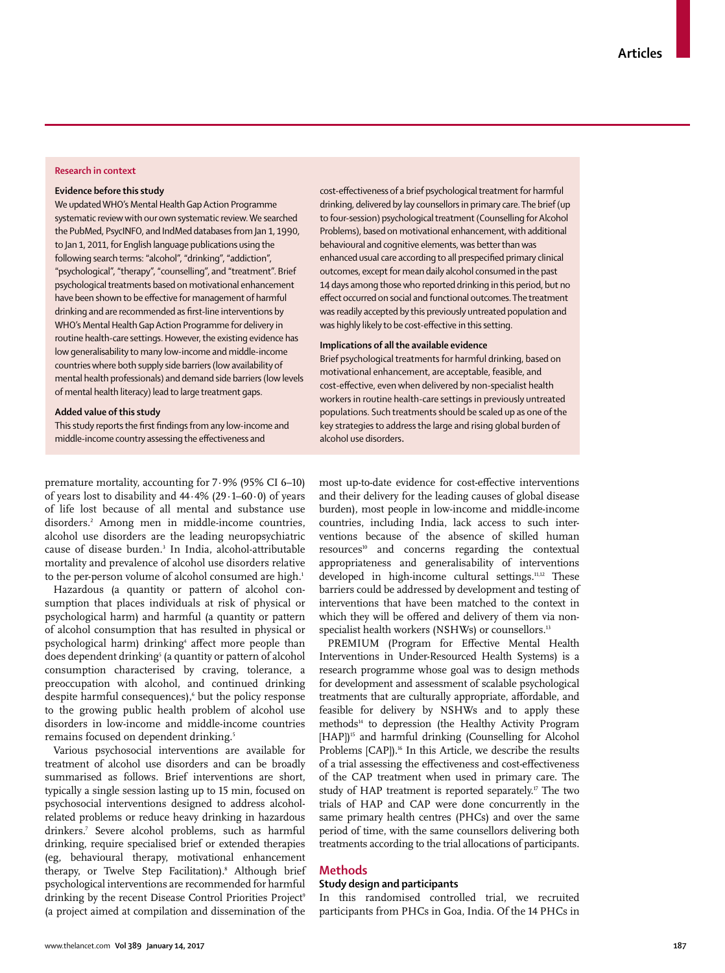## **Research in context**

## **Evidence before this study**

We updated WHO's Mental Health Gap Action Programme systematic review with our own systematic review. We searched the PubMed, PsycINFO, and IndMed databases from Jan 1, 1990, to Jan 1, 2011, for English language publications using the following search terms: "alcohol", "drinking", "addiction", "psychological", "therapy", "counselling", and "treatment". Brief psychological treatments based on motivational enhancement have been shown to be effective for management of harmful drinking and are recommended as first-line interventions by WHO's Mental Health Gap Action Programme for delivery in routine health-care settings. However, the existing evidence has low generalisability to many low-income and middle-income countries where both supply side barriers (low availability of mental health professionals) and demand side barriers (low levels of mental health literacy) lead to large treatment gaps.

## **Added value of this study**

This study reports the first findings from any low-income and middle-income country assessing the effectiveness and

premature mortality, accounting for 7·9% (95% CI 6–10) of years lost to disability and  $44.4\%$  (29.1–60.0) of years of life lost because of all mental and substance use disorders.2 Among men in middle-income countries, alcohol use disorders are the leading neuropsychiatric cause of disease burden.3 In India, alcohol-attributable mortality and prevalence of alcohol use disorders relative to the per-person volume of alcohol consumed are high.<sup>1</sup>

Hazardous (a quantity or pattern of alcohol consumption that places individuals at risk of physical or psychological harm) and harmful (a quantity or pattern of alcohol consumption that has resulted in physical or psychological harm) drinking<sup>4</sup> affect more people than does dependent drinking<sup>s</sup> (a quantity or pattern of alcohol consumption characterised by craving, tolerance, a preoccupation with alcohol, and continued drinking despite harmful consequences),6 but the policy response to the growing public health problem of alcohol use disorders in low-income and middle-income countries remains focused on dependent drinking.<sup>5</sup>

Various psychosocial interventions are available for treatment of alcohol use disorders and can be broadly summarised as follows. Brief interventions are short, typically a single session lasting up to 15 min, focused on psychosocial interventions designed to address alcoholrelated problems or reduce heavy drinking in hazardous drinkers.7 Severe alcohol problems, such as harmful drinking, require specialised brief or extended therapies (eg, behavioural therapy, motivational enhancement therapy, or Twelve Step Facilitation).8 Although brief psychological interventions are recommended for harmful drinking by the recent Disease Control Priorities Project<sup>9</sup> (a project aimed at compilation and dis semination of the

cost-effectiveness of a brief psychological treatment for harmful drinking, delivered by lay counsellors in primary care. The brief (up to four-session) psychological treatment (Counselling for Alcohol Problems), based on motivational enhancement, with additional behavioural and cognitive elements, was better than was enhanced usual care according to all prespecified primary clinical outcomes, except for mean daily alcohol consumed in the past 14 days among those who reported drinking in this period, but no effect occurred on social and functional outcomes. The treatment was readily accepted by this previously untreated population and was highly likely to be cost-effective in this setting.

## **Implications of all the available evidence**

Brief psychological treatments for harmful drinking, based on motivational enhancement, are acceptable, feasible, and cost-effective, even when delivered by non-specialist health workers in routine health-care settings in previously untreated populations. Such treatments should be scaled up as one of the key strategies to address the large and rising global burden of alcohol use disorders.

most up-to-date evidence for cost-effective interventions and their delivery for the leading causes of global disease burden), most people in low-income and middle-income countries, including India, lack access to such interventions because of the absence of skilled human resources10 and concerns regarding the contextual appropriateness and generalisability of interventions developed in high-income cultural settings.<sup>11,12</sup> These barriers could be addressed by development and testing of interventions that have been matched to the context in which they will be offered and delivery of them via nonspecialist health workers (NSHWs) or counsellors.<sup>13</sup>

PREMIUM (Program for Effective Mental Health Interventions in Under-Resourced Health Systems) is a research programme whose goal was to design methods for development and assessment of scalable psychological treatments that are culturally appropriate, affordable, and feasible for delivery by NSHWs and to apply these methods<sup>14</sup> to depression (the Healthy Activity Program [HAP]<sup>15</sup> and harmful drinking (Counselling for Alcohol Problems [CAP]).<sup>16</sup> In this Article, we describe the results of a trial assessing the effectiveness and cost-effectiveness of the CAP treatment when used in primary care. The study of HAP treatment is reported separately.<sup>17</sup> The two trials of HAP and CAP were done concurrently in the same primary health centres (PHCs) and over the same period of time, with the same counsellors delivering both treatments according to the trial allocations of participants.

## **Methods**

## **Study design and participants**

In this randomised controlled trial, we recruited participants from PHCs in Goa, India. Of the 14 PHCs in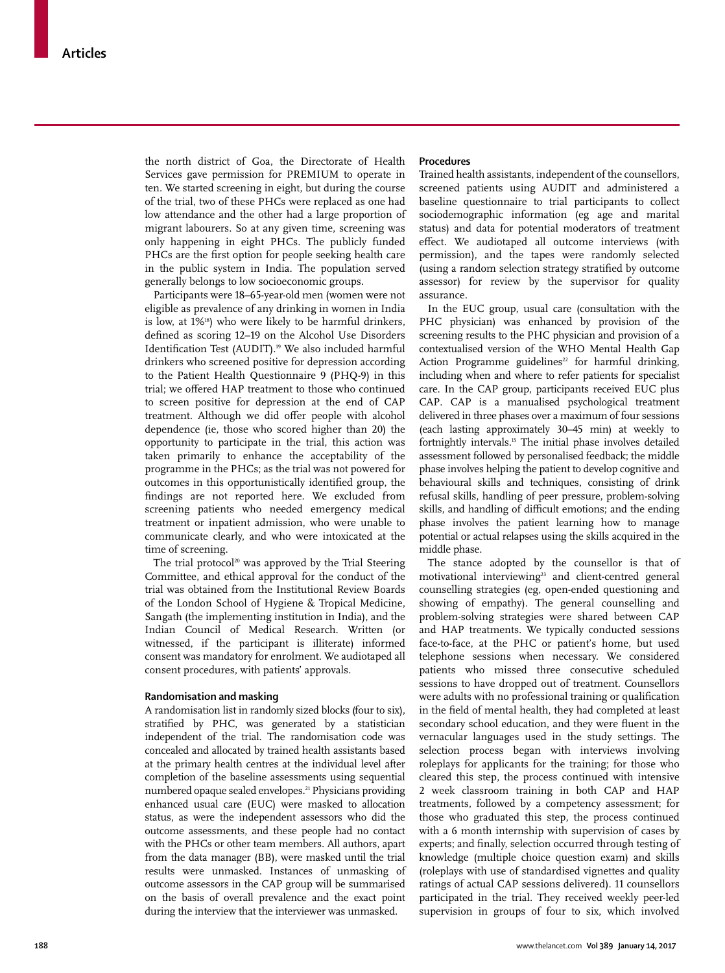the north district of Goa, the Directorate of Health Services gave permission for PREMIUM to operate in ten. We started screening in eight, but during the course of the trial, two of these PHCs were replaced as one had low attendance and the other had a large proportion of migrant labourers. So at any given time, screening was only happening in eight PHCs. The publicly funded PHCs are the first option for people seeking health care in the public system in India. The population served generally belongs to low socioeconomic groups.

Participants were 18–65-year-old men (women were not eligible as prevalence of any drinking in women in India is low, at 1%18) who were likely to be harmful drinkers, defined as scoring 12-19 on the Alcohol Use Disorders Identification Test (AUDIT).<sup>19</sup> We also included harmful drinkers who screened positive for depression according to the Patient Health Questionnaire 9 (PHQ-9) in this trial; we offered HAP treatment to those who continued to screen positive for depression at the end of CAP treatment. Although we did offer people with alcohol dependence (ie, those who scored higher than 20) the opportunity to participate in the trial, this action was taken primarily to enhance the acceptability of the programme in the PHCs; as the trial was not powered for outcomes in this opportunistically identified group, the findings are not reported here. We excluded from screening patients who needed emergency medical treatment or inpatient admission, who were unable to communicate clearly, and who were intoxicated at the time of screening.

The trial protocol<sup>20</sup> was approved by the Trial Steering Committee, and ethical approval for the conduct of the trial was obtained from the Institutional Review Boards of the London School of Hygiene & Tropical Medicine, Sangath (the implementing institution in India), and the Indian Council of Medical Research. Written (or witnessed, if the participant is illiterate) informed consent was mandatory for enrolment. We audiotaped all consent procedures, with patients' approvals.

### **Randomisation and masking**

A randomisation list in randomly sized blocks (four to six), stratified by PHC, was generated by a statistician independent of the trial. The randomisation code was concealed and allocated by trained health assistants based at the primary health centres at the individual level after completion of the baseline assessments using sequential numbered opaque sealed envelopes.<sup>21</sup> Physicians providing enhanced usual care (EUC) were masked to allocation status, as were the independent assessors who did the outcome assessments, and these people had no contact with the PHCs or other team members. All authors, apart from the data manager (BB), were masked until the trial results were unmasked. Instances of unmasking of outcome assessors in the CAP group will be summarised on the basis of overall prevalence and the exact point during the interview that the interviewer was unmasked.

#### **Procedures**

Trained health assistants, independent of the counsellors, screened patients using AUDIT and administered a baseline questionnaire to trial participants to collect sociodemographic information (eg age and marital status) and data for potential moderators of treatment effect. We audiotaped all outcome interviews (with permission), and the tapes were randomly selected (using a random selection strategy stratified by outcome assessor) for review by the supervisor for quality assurance.

In the EUC group, usual care (consultation with the PHC physician) was enhanced by provision of the screening results to the PHC physician and provision of a contextualised version of the WHO Mental Health Gap Action Programme guidelines<sup>22</sup> for harmful drinking, including when and where to refer patients for specialist care. In the CAP group, participants received EUC plus CAP. CAP is a manualised psychological treatment delivered in three phases over a maximum of four sessions (each lasting approximately 30–45 min) at weekly to fortnightly intervals.15 The initial phase involves detailed assessment followed by personalised feedback; the middle phase involves helping the patient to develop cognitive and behavioural skills and techniques, consisting of drink refusal skills, handling of peer pressure, problem-solving skills, and handling of difficult emotions; and the ending phase involves the patient learning how to manage potential or actual relapses using the skills acquired in the middle phase.

The stance adopted by the counsellor is that of motivational interviewing<sup>23</sup> and client-centred general counselling strategies (eg, open-ended questioning and showing of empathy). The general counselling and problem-solving strategies were shared between CAP and HAP treatments. We typically conducted sessions face-to-face, at the PHC or patient's home, but used telephone sessions when necessary. We considered patients who missed three consecutive scheduled sessions to have dropped out of treatment. Counsellors were adults with no professional training or qualification in the field of mental health, they had completed at least secondary school education, and they were fluent in the vernacular languages used in the study settings. The selection process began with interviews involving roleplays for applicants for the training; for those who cleared this step, the process continued with intensive 2 week classroom training in both CAP and HAP treatments, followed by a competency assessment; for those who graduated this step, the process continued with a 6 month internship with supervision of cases by experts; and finally, selection occurred through testing of knowledge (multiple choice question exam) and skills (roleplays with use of standardised vignettes and quality ratings of actual CAP sessions delivered). 11 counsellors participated in the trial. They received weekly peer-led supervision in groups of four to six, which involved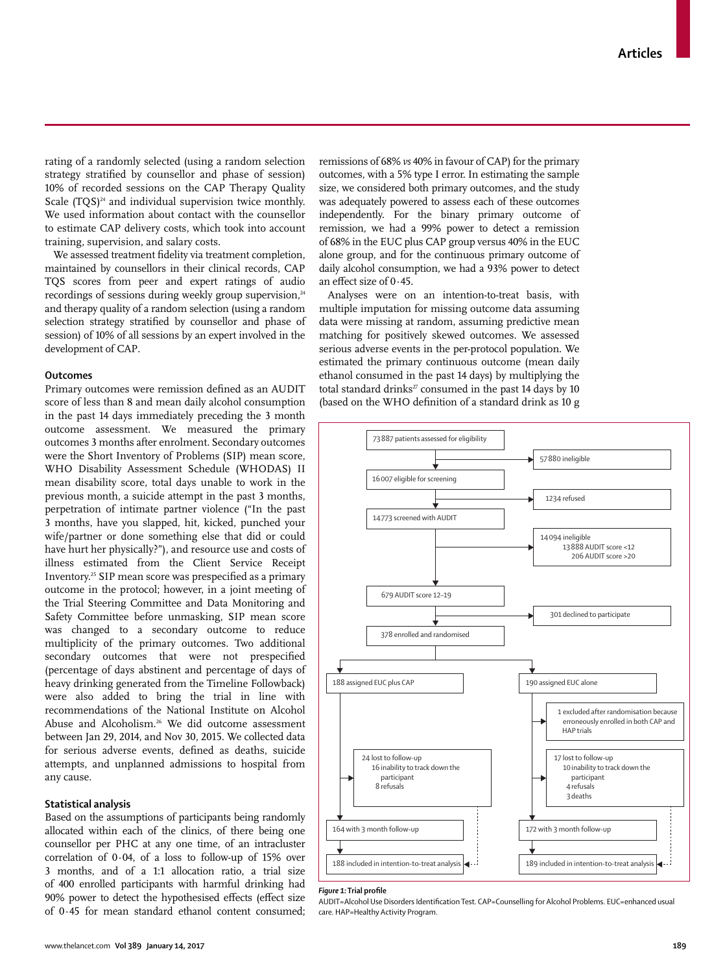rating of a randomly selected (using a random selection strategy stratified by counsellor and phase of session) 10% of recorded sessions on the CAP Therapy Quality Scale (TQS)<sup>24</sup> and individual supervision twice monthly. We used information about contact with the counsellor to estimate CAP delivery costs, which took into account training, supervision, and salary costs.

We assessed treatment fidelity via treatment completion, maintained by counsellors in their clinical records, CAP TQS scores from peer and expert ratings of audio recordings of sessions during weekly group supervision,<sup>24</sup> and therapy quality of a random selection (using a random selection strategy stratified by counsellor and phase of session) of 10% of all sessions by an expert involved in the development of CAP.

## **Outcomes**

Primary outcomes were remission defined as an AUDIT score of less than 8 and mean daily alcohol consumption in the past 14 days immediately preceding the 3 month outcome assessment. We measured the primary outcomes 3 months after enrolment. Secondary outcomes were the Short Inventory of Problems (SIP) mean score, WHO Disability Assessment Schedule (WHODAS) II mean disability score, total days unable to work in the previous month, a suicide attempt in the past 3 months, perpetration of intimate partner violence ("In the past 3 months, have you slapped, hit, kicked, punched your wife/partner or done something else that did or could have hurt her physically?"), and resource use and costs of illness estimated from the Client Service Receipt Inventory.<sup>25</sup> SIP mean score was prespecified as a primary outcome in the protocol; however, in a joint meeting of the Trial Steering Committee and Data Monitoring and Safety Committee before unmasking, SIP mean score was changed to a secondary outcome to reduce multiplicity of the primary outcomes. Two additional secondary outcomes that were not prespecified (percentage of days abstinent and percentage of days of heavy drinking generated from the Timeline Followback) were also added to bring the trial in line with recommendations of the National Institute on Alcohol Abuse and Alcoholism.26 We did outcome assessment between Jan 29, 2014, and Nov 30, 2015. We collected data for serious adverse events, defined as deaths, suicide attempts, and unplanned admissions to hospital from any cause.

## **Statistical analysis**

Based on the assumptions of participants being randomly allocated within each of the clinics, of there being one counsellor per PHC at any one time, of an intracluster correlation of 0·04, of a loss to follow-up of 15% over 3 months, and of a 1:1 allocation ratio, a trial size of 400 enrolled participants with harmful drinking had 90% power to detect the hypothesised effects (effect size of 0·45 for mean standard ethanol content consumed; remissions of 68% *vs* 40% in favour of CAP) for the primary outcomes, with a 5% type I error. In estimating the sample size, we considered both primary outcomes, and the study was adequately powered to assess each of these outcomes independently. For the binary primary outcome of remission, we had a 99% power to detect a remission of 68% in the EUC plus CAP group versus 40% in the EUC alone group, and for the continuous primary outcome of daily alcohol consumption, we had a 93% power to detect an effect size of  $0.45$ .

Analyses were on an intention-to-treat basis, with multiple imputation for missing outcome data assuming data were missing at random, assuming predictive mean matching for positively skewed outcomes. We assessed serious adverse events in the per-protocol population. We estimated the primary continuous outcome (mean daily ethanol consumed in the past 14 days) by multiplying the total standard drinks $^{27}$  consumed in the past 14 days by 10 (based on the WHO definition of a standard drink as  $10 g$ 



#### $F$  *Figure* 1: Trial profile

AUDIT=Alcohol Use Disorders Identification Test. CAP=Counselling for Alcohol Problems. EUC=enhanced usual care. HAP=Healthy Activity Program.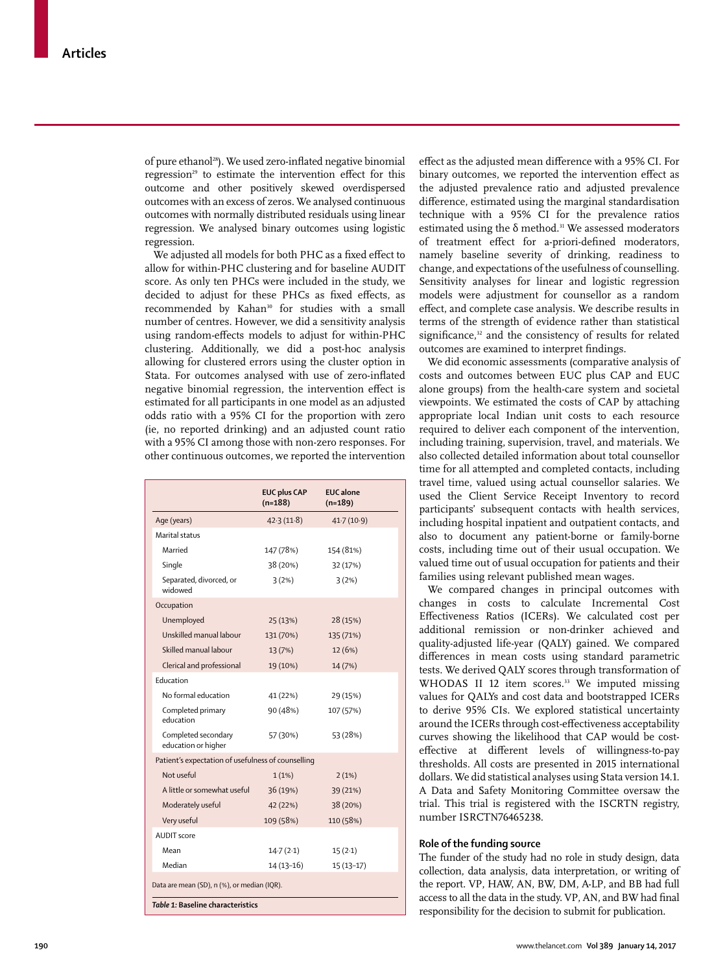of pure ethanol<sup>28</sup>). We used zero-inflated negative binomial regression<sup>29</sup> to estimate the intervention effect for this outcome and other positively skewed overdispersed outcomes with an excess of zeros. We analysed continuous outcomes with normally distributed residuals using linear regression. We analysed binary outcomes using logistic regression.

We adjusted all models for both PHC as a fixed effect to allow for within-PHC clustering and for baseline AUDIT score. As only ten PHCs were included in the study, we decided to adjust for these PHCs as fixed effects, as recommended by Kahan<sup>30</sup> for studies with a small number of centres. However, we did a sensitivity analysis using random-effects models to adjust for within-PHC clustering. Additionally, we did a post-hoc analysis allowing for clustered errors using the cluster option in Stata. For outcomes analysed with use of zero-inflated negative binomial regression, the intervention effect is estimated for all participants in one model as an adjusted odds ratio with a 95% CI for the proportion with zero (ie, no reported drinking) and an adjusted count ratio with a 95% CI among those with non-zero responses. For other continuous outcomes, we reported the intervention

|                                                    | <b>EUC plus CAP</b><br>$(n=188)$ | EUC alone<br>$(n=189)$ |  |
|----------------------------------------------------|----------------------------------|------------------------|--|
| Age (years)                                        | 42.3(11.8)                       | 41.7(10.9)             |  |
| Marital status                                     |                                  |                        |  |
| Married                                            | 147 (78%)                        | 154 (81%)              |  |
| Single                                             | 38 (20%)                         | 32 (17%)               |  |
| Separated, divorced, or<br>widowed                 | 3(2%)                            | 3(2%)                  |  |
| Occupation                                         |                                  |                        |  |
| Unemployed                                         | 25 (13%)                         | 28 (15%)               |  |
| Unskilled manual labour                            | 131 (70%)                        | 135 (71%)              |  |
| Skilled manual labour                              | 13 (7%)                          | 12 (6%)                |  |
| Clerical and professional                          | 19 (10%)                         | 14 (7%)                |  |
| Education                                          |                                  |                        |  |
| No formal education                                | 41 (22%)                         | 29 (15%)               |  |
| Completed primary<br>education                     | 90 (48%)                         | 107 (57%)              |  |
| Completed secondary<br>education or higher         | 57 (30%)                         | 53 (28%)               |  |
| Patient's expectation of usefulness of counselling |                                  |                        |  |
| Not useful                                         | 1(1%)                            | 2(1%)                  |  |
| A little or somewhat useful                        | 36 (19%)                         | 39 (21%)               |  |
| Moderately useful                                  | 42 (22%)                         | 38 (20%)               |  |
| Very useful                                        | 109 (58%)                        | 110 (58%)              |  |
| <b>AUDIT</b> score                                 |                                  |                        |  |
| Mean                                               | 14.7(2.1)                        | 15(2.1)                |  |
| Median                                             | $14(13-16)$                      | $15(13-17)$            |  |
| Data are mean (SD), n (%), or median (IQR).        |                                  |                        |  |

effect as the adjusted mean difference with a 95% CI. For binary outcomes, we reported the intervention effect as the adjusted prevalence ratio and adjusted prevalence difference, estimated using the marginal standardisation technique with a 95% CI for the prevalence ratios estimated using the  $\delta$  method.<sup>31</sup> We assessed moderators of treatment effect for a-priori-defined moderators, namely baseline severity of drinking, readiness to change, and expectations of the usefulness of counselling. Sensitivity analyses for linear and logistic regression models were adjustment for counsellor as a random effect, and complete case analysis. We describe results in terms of the strength of evidence rather than statistical significance,<sup>32</sup> and the consistency of results for related outcomes are examined to interpret findings.

We did economic assessments (comparative analysis of costs and outcomes between EUC plus CAP and EUC alone groups) from the health-care system and societal viewpoints. We estimated the costs of CAP by attaching appropriate local Indian unit costs to each resource required to deliver each component of the intervention, including training, supervision, travel, and materials. We also collected detailed information about total counsellor time for all attempted and completed contacts, including travel time, valued using actual counsellor salaries. We used the Client Service Receipt Inventory to record participants' subsequent contacts with health services, including hospital inpatient and outpatient contacts, and also to document any patient-borne or family-borne costs, including time out of their usual occupation. We valued time out of usual occupation for patients and their families using relevant published mean wages.

We compared changes in principal outcomes with changes in costs to calculate Incremental Cost Effectiveness Ratios (ICERs). We calculated cost per additional remission or non-drinker achieved and quality-adjusted life-year (QALY) gained. We compared differences in mean costs using standard parametric tests. We derived QALY scores through transformation of WHODAS II 12 item scores.<sup>33</sup> We imputed missing values for QALYs and cost data and bootstrapped ICERs to derive 95% CIs. We explored statistical uncertainty around the ICERs through cost-effectiveness acceptability curves showing the likelihood that CAP would be costeffective at different levels of willingness-to-pay thresholds. All costs are presented in 2015 international dollars. We did statistical analyses using Stata version 14.1. A Data and Safety Monitoring Committee oversaw the trial. This trial is registered with the ISCRTN registry, number ISRCTN76465238.

## **Role of the funding source**

The funder of the study had no role in study design, data collection, data analysis, data interpretation, or writing of the report. VP, HAW, AN, BW, DM, A-LP, and BB had full access to all the data in the study. VP, AN, and BW had final responsibility for the decision to submit for publication.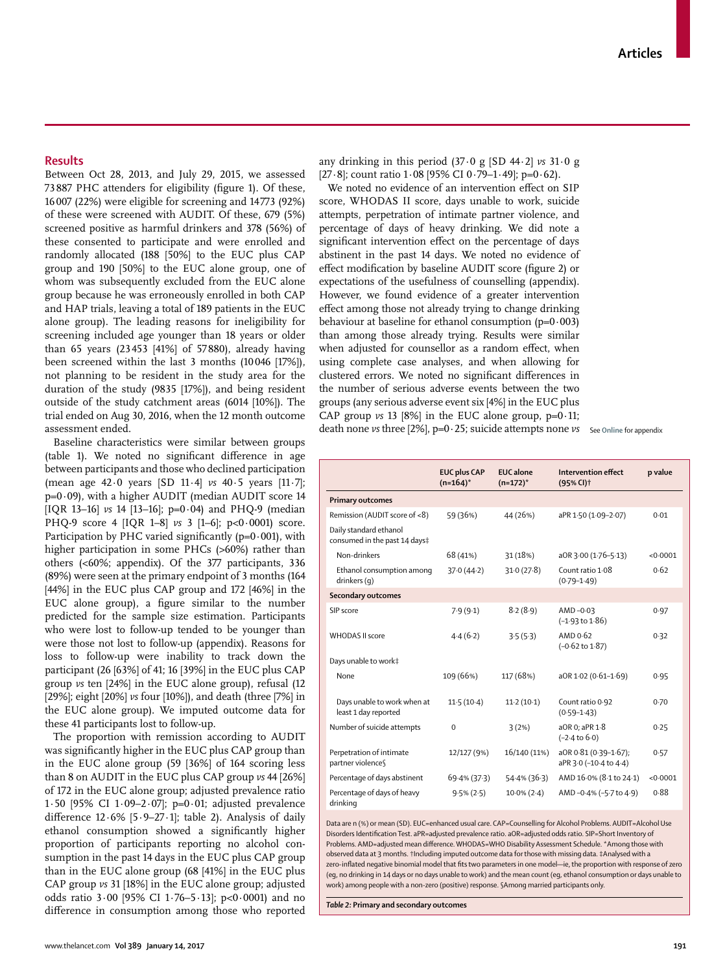## **Results**

Between Oct 28, 2013, and July 29, 2015, we assessed 73 887 PHC attenders for eligibility (figure 1). Of these, 16 007 (22%) were eligible for screening and 14 773 (92%) of these were screened with AUDIT. Of these, 679 (5%) screened positive as harmful drinkers and 378 (56%) of these consented to participate and were enrolled and randomly allocated (188 [50%] to the EUC plus CAP group and 190 [50%] to the EUC alone group, one of whom was subsequently excluded from the EUC alone group because he was erroneously enrolled in both CAP and HAP trials, leaving a total of 189 patients in the EUC alone group). The leading reasons for ineligibility for screening included age younger than 18 years or older than 65 years (23 453 [41%] of 57 880), already having been screened within the last 3 months (10 046 [17%]), not planning to be resident in the study area for the duration of the study (9835 [17%]), and being resident outside of the study catchment areas (6014 [10%]). The trial ended on Aug 30, 2016, when the 12 month outcome assessment ended.

Baseline characteristics were similar between groups (table 1). We noted no significant difference in age between participants and those who declined participation (mean age 42·0 years [SD 11·4] *vs* 40·5 years [11·7];  $p=0.09$ ), with a higher AUDIT (median AUDIT score 14 [IQR 13–16] *vs* 14 [13–16]; p=0·04) and PHQ-9 (median PHQ-9 score 4 [IQR 1–8] *vs* 3 [1–6]; p<0·0001) score. Participation by PHC varied significantly ( $p=0.001$ ), with higher participation in some PHCs (>60%) rather than others (<60%; appendix). Of the 377 participants, 336 (89%) were seen at the primary endpoint of 3 months (164 [44%] in the EUC plus CAP group and 172 [46%] in the EUC alone group), a figure similar to the number predicted for the sample size estimation. Participants who were lost to follow-up tended to be younger than were those not lost to follow-up (appendix). Reasons for loss to follow-up were inability to track down the participant (26 [63%] of 41; 16 [39%] in the EUC plus CAP group *vs* ten [24%] in the EUC alone group), refusal (12 [29%]; eight [20%] *vs* four [10%]), and death (three [7%] in the EUC alone group). We imputed outcome data for these 41 participants lost to follow-up.

The proportion with remission according to AUDIT was significantly higher in the EUC plus CAP group than in the EUC alone group (59 [36%] of 164 scoring less than 8 on AUDIT in the EUC plus CAP group *vs* 44 [26%] of 172 in the EUC alone group; adjusted prevalence ratio 1·50 [95% CI 1·09–2·07]; p=0·01; adjusted prevalence difference  $12.6\%$  [5.9-27.1]; table 2). Analysis of daily ethanol consumption showed a significantly higher proportion of participants reporting no alcohol consumption in the past 14 days in the EUC plus CAP group than in the EUC alone group (68 [41%] in the EUC plus CAP group *vs* 31 [18%] in the EUC alone group; adjusted odds ratio 3·00 [95% CI 1·76–5·13]; p<0·0001) and no difference in consumption among those who reported any drinking in this period (37·0 g [SD 44·2] *vs* 31·0 g [27·8]; count ratio  $1.08$  [95% CI  $0.79-1.49$ ]; p=0.62).

We noted no evidence of an intervention effect on SIP score, WHODAS II score, days unable to work, suicide attempts, perpetration of intimate partner violence, and percentage of days of heavy drinking. We did note a significant intervention effect on the percentage of days abstinent in the past 14 days. We noted no evidence of effect modification by baseline AUDIT score (figure 2) or expectations of the usefulness of counselling (appendix). However, we found evidence of a greater intervention effect among those not already trying to change drinking behaviour at baseline for ethanol consumption  $(p=0.003)$ than among those already trying. Results were similar when adjusted for counsellor as a random effect, when using complete case analyses, and when allowing for clustered errors. We noted no significant differences in the number of serious adverse events between the two groups (any serious adverse event six [4%] in the EUC plus CAP group  $vs$  13 [8%] in the EUC alone group,  $p=0.11$ ; death none *vs* three [2%], p=0·25; suicide attempts none *vs* See **Online** for appendix

|                                                         | <b>EUC plus CAP</b><br>$(n=164)^*$ | <b>EUC</b> alone<br>$(n=172)^{*}$ | <b>Intervention effect</b><br>$(95% CI)$ <sup>†</sup> | p value  |
|---------------------------------------------------------|------------------------------------|-----------------------------------|-------------------------------------------------------|----------|
| <b>Primary outcomes</b>                                 |                                    |                                   |                                                       |          |
| Remission (AUDIT score of <8)                           | 59 (36%)                           | 44 (26%)                          | aPR 1.50 (1.09-2.07)                                  | 0.01     |
| Daily standard ethanol<br>consumed in the past 14 days‡ |                                    |                                   |                                                       |          |
| Non-drinkers                                            | 68 (41%)                           | 31 (18%)                          | aOR 3.00 (1.76-5.13)                                  | < 0.0001 |
| Ethanol consumption among<br>drinkers (q)               | 37.0(44.2)                         | 31.0(27.8)                        | Count ratio 1.08<br>$(0.79 - 1.49)$                   | 0.62     |
| <b>Secondary outcomes</b>                               |                                    |                                   |                                                       |          |
| SIP score                                               | 7.9(9.1)                           | 8.2(8.9)                          | $F0-0$ MA<br>$(-1.93 \text{ to } 1.86)$               | 0.97     |
| <b>WHODAS II score</b>                                  | 4.4(6.2)                           | 3.5(5.3)                          | AMD 0.62<br>$(-0.62 \text{ to } 1.87)$                | 0.32     |
| Days unable to work‡                                    |                                    |                                   |                                                       |          |
| None                                                    | 109 (66%)                          | 117 (68%)                         | aOR 1.02 (0.61-1.69)                                  | 0.95     |
| Days unable to work when at<br>least 1 day reported     | 11.5(10.4)                         | 11.2(10.1)                        | Count ratio 0.92<br>$(0.59 - 1.43)$                   | 0.70     |
| Number of suicide attempts                              | $\Omega$                           | 3(2%)                             | aOR 0; aPR 1.8<br>$(-2.4 to 6.0)$                     | 0.25     |
| Perpetration of intimate<br>partner violence§           | 12/127 (9%)                        | 16/140 (11%)                      | aOR 0.81 (0.39-1.67);<br>aPR 3.0 (-10.4 to 4.4)       | 0.57     |
| Percentage of days abstinent                            | $69.4\%$ (37.3)                    | 54.4% (36.3)                      | AMD 16.0% (8.1 to 24.1)                               | < 0.0001 |
| Percentage of days of heavy<br>drinking                 | $9.5\%$ (2.5)                      | $10.0\%$ (2.4)                    | AMD-0.4% (-5.7 to 4.9)                                | 0.88     |

Data are n (%) or mean (SD). EUC=enhanced usual care. CAP=Counselling for Alcohol Problems. AUDIT=Alcohol Use Disorders Identification Test. aPR=adjusted prevalence ratio. aOR=adjusted odds ratio. SIP=Short Inventory of Problems. AMD=adjusted mean difference. WHODAS=WHO Disability Assessment Schedule. \*Among those with observed data at 3 months. †Including imputed outcome data for those with missing data. ‡Analysed with a zero-inflated negative binomial model that fits two parameters in one model-ie, the proportion with response of zero (eg, no drinking in 14 days or no days unable to work) and the mean count (eg, ethanol consumption or days unable to work) among people with a non-zero (positive) response. §Among married participants only.

*Table 2:* **Primary and secondary outcomes**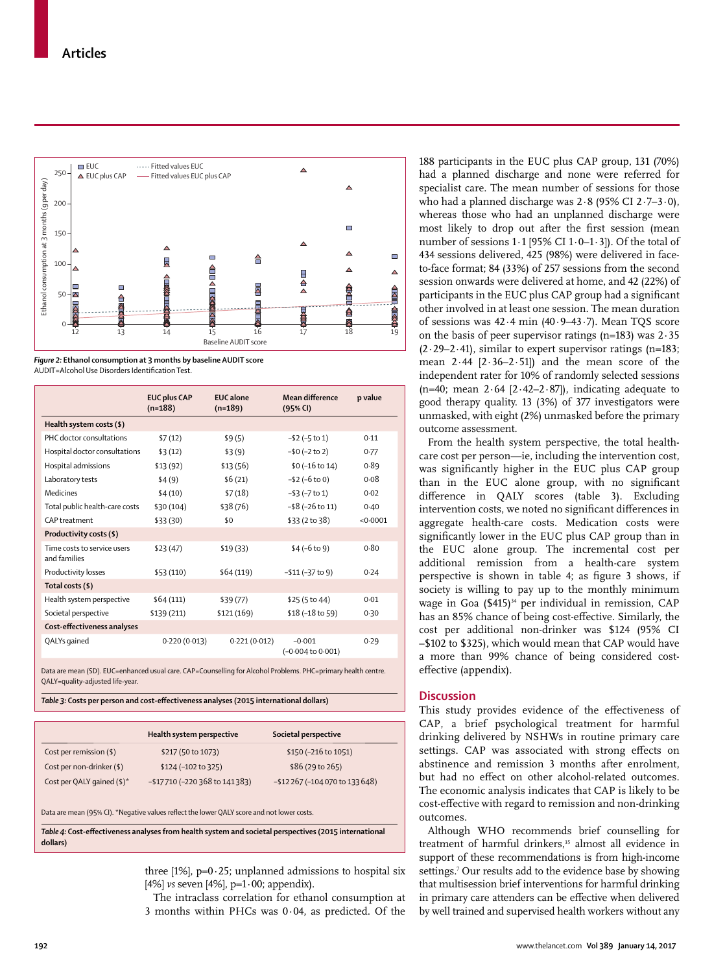



|                                             | <b>EUC plus CAP</b><br>$(n=188)$ | <b>FUC</b> alone<br>$(n=189)$ | Mean difference<br>(95% CI)              | p value  |
|---------------------------------------------|----------------------------------|-------------------------------|------------------------------------------|----------|
| Health system costs (\$)                    |                                  |                               |                                          |          |
| PHC doctor consultations                    | \$7(12)                          | \$9(5)                        | $-52 (-5 to 1)$                          | 0.11     |
| Hospital doctor consultations               | \$3(12)                          | \$3(9)                        | $-50$ ( $-2$ to 2)                       | 0.77     |
| Hospital admissions                         | \$13 (92)                        | \$13(56)                      | \$0 (-16 to 14)                          | 0.89     |
| Laboratory tests                            | \$4(9)                           | \$6(21)                       | $-$ \$2 ( $-6$ to 0)                     | 0.08     |
| Medicines                                   | \$4(10)                          | \$7(18)                       | $-$ \$3 ( $-7$ to 1)                     | 0.02     |
| Total public health-care costs              | \$30 (104)                       | \$38 (76)                     | $-$ \$8 ( $-$ 26 to 11)                  | 0.40     |
| CAP treatment                               | \$33 (30)                        | \$0                           | \$33 (2 to 38)                           | < 0.0001 |
| Productivity costs (\$)                     |                                  |                               |                                          |          |
| Time costs to service users<br>and families | \$23(47)                         | \$19(33)                      | $$4(-6 to 9)$                            | 0.80     |
| Productivity losses                         | \$53 (110)                       | \$64(119)                     | $-$11 (-37 to 9)$                        | 0.24     |
| Total costs (\$)                            |                                  |                               |                                          |          |
| Health system perspective                   | \$64(111)                        | \$39 (77)                     | \$25 (5 to 44)                           | 0.01     |
| Societal perspective                        | \$139 (211)                      | \$121 (169)                   | \$18 (-18 to 59)                         | 0.30     |
| Cost-effectiveness analyses                 |                                  |                               |                                          |          |
| QALYs gained                                | 0.220(0.013)                     | 0.221(0.012)                  | $-0.001$<br>$(-0.004 \text{ to } 0.001)$ | 0.29     |

Data are mean (SD). EUC=enhanced usual care. CAP=Counselling for Alcohol Problems. PHC=primary health centre. QALY=quality-adjusted life-year.

Table 3: Costs per person and cost-effectiveness analyses (2015 international dollars)

|                                                                                            | Health system perspective      | Societal perspective            |  |  |
|--------------------------------------------------------------------------------------------|--------------------------------|---------------------------------|--|--|
| Cost per remission (\$)                                                                    | \$217 (50 to 1073)             | \$150 (-216 to 1051)            |  |  |
| Cost per non-drinker (\$)                                                                  | \$124 (-102 to 325)            | \$86 (29 to 265)                |  |  |
| Cost per QALY gained (\$)*                                                                 | -\$17710 (-220 368 to 141 383) | -\$12 267 (-104 070 to 133 648) |  |  |
|                                                                                            |                                |                                 |  |  |
| Data are mean (95% CI). *Negative values reflect the lower OALY score and not lower costs. |                                |                                 |  |  |

Table 4: Cost-effectiveness analyses from health system and societal perspectives (2015 international **dollars)**

> three  $[1\%]$ , p=0 $\cdot$ 25; unplanned admissions to hospital six [4%] *vs* seven [4%], p=1·00; appendix).

The intraclass correlation for ethanol consumption at 3 months within PHCs was 0·04, as predicted. Of the

188 participants in the EUC plus CAP group, 131 (70%) had a planned discharge and none were referred for specialist care. The mean number of sessions for those who had a planned discharge was  $2.8$  (95% CI  $2.7-3.0$ ), whereas those who had an unplanned discharge were most likely to drop out after the first session (mean number of sessions  $1.1$  [95% CI  $1.0-1.3$ ]). Of the total of 434 sessions delivered, 425 (98%) were delivered in faceto-face format; 84 (33%) of 257 sessions from the second session onwards were delivered at home, and 42 (22%) of participants in the EUC plus CAP group had a significant other involved in at least one session. The mean duration of sessions was 42·4 min (40·9–43·7). Mean TQS score on the basis of peer supervisor ratings ( $n=183$ ) was  $2.35$  $(2.29-2.41)$ , similar to expert supervisor ratings (n=183; mean  $2.44$   $[2.36-2.51]$  and the mean score of the independent rater for 10% of randomly selected sessions  $(n=40;$  mean  $2.64$   $(2.42-2.87)$ , indicating adequate to good therapy quality. 13 (3%) of 377 investigators were unmasked, with eight (2%) unmasked before the primary outcome assessment.

From the health system perspective, the total healthcare cost per person—ie, including the intervention cost, was significantly higher in the EUC plus CAP group than in the EUC alone group, with no significant difference in OALY scores (table 3). Excluding intervention costs, we noted no significant differences in aggregate health-care costs. Medication costs were significantly lower in the EUC plus CAP group than in the EUC alone group. The incremental cost per additional remission from a health-care system perspective is shown in table 4; as figure 3 shows, if society is willing to pay up to the monthly minimum wage in Goa (\$415)<sup>34</sup> per individual in remission, CAP has an 85% chance of being cost-effective. Similarly, the cost per additional non-drinker was \$124 (95% CI –\$102 to \$325), which would mean that CAP would have a more than 99% chance of being considered costeffective (appendix).

## **Discussion**

This study provides evidence of the effectiveness of CAP, a brief psychological treatment for harmful drinking delivered by NSHWs in routine primary care settings. CAP was associated with strong effects on abstinence and remission 3 months after enrolment, but had no effect on other alcohol-related outcomes. The economic analysis indicates that CAP is likely to be cost-effective with regard to remission and non-drinking outcomes.

Although WHO recommends brief counselling for treatment of harmful drinkers,<sup>35</sup> almost all evidence in support of these recommendations is from high-income settings.<sup>7</sup> Our results add to the evidence base by showing that multisession brief interventions for harmful drinking in primary care attenders can be effective when delivered by well trained and supervised health workers without any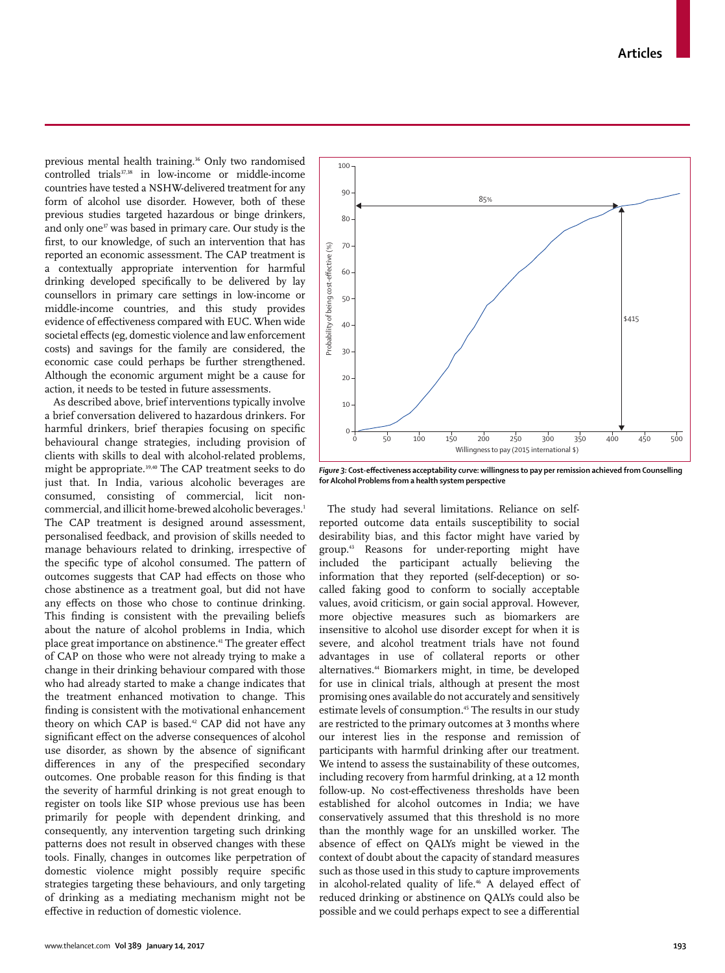previous mental health training.<sup>36</sup> Only two randomised  $\overline{\text{controlled}}$  trials<sup>37,38</sup> in low-income or middle-income countries have tested a NSHW-delivered treatment for any form of alcohol use disorder. However, both of these previous studies targeted hazardous or binge drinkers, and only one<sup>37</sup> was based in primary care. Our study is the first, to our knowledge, of such an intervention that has reported an economic assessment. The CAP treatment is a contextually appropriate intervention for harmful drinking developed specifically to be delivered by lay counsellors in primary care settings in low-income or middle-income countries, and this study provides evidence of effectiveness compared with EUC. When wide societal effects (eg, domestic violence and law enforcement costs) and savings for the family are considered, the economic case could perhaps be further strengthened. Although the economic argument might be a cause for action, it needs to be tested in future assessments.

As described above, brief interventions typically involve a brief conversation delivered to hazardous drinkers. For harmful drinkers, brief therapies focusing on specific behavioural change strategies, including provision of clients with skills to deal with alcohol-related problems, might be appropriate.39,40 The CAP treatment seeks to do just that. In India, various alcoholic beverages are consumed, consisting of commercial, licit noncommercial, and illicit home-brewed alcoholic beverages.<sup>1</sup> The CAP treatment is designed around assessment, personalised feedback, and provision of skills needed to manage behaviours related to drinking, irrespective of the specific type of alcohol consumed. The pattern of outcomes suggests that CAP had effects on those who chose abstinence as a treatment goal, but did not have any effects on those who chose to continue drinking. This finding is consistent with the prevailing beliefs about the nature of alcohol problems in India, which place great importance on abstinence.<sup>41</sup> The greater effect of CAP on those who were not already trying to make a change in their drinking behaviour compared with those who had already started to make a change indicates that the treatment enhanced motivation to change. This finding is consistent with the motivational enhancement theory on which CAP is based.<sup>42</sup> CAP did not have any significant effect on the adverse consequences of alcohol use disorder, as shown by the absence of significant differences in any of the prespecified secondary outcomes. One probable reason for this finding is that the severity of harmful drinking is not great enough to register on tools like SIP whose previous use has been primarily for people with dependent drinking, and consequently, any intervention targeting such drinking patterns does not result in observed changes with these tools. Finally, changes in outcomes like perpetration of domestic violence might possibly require specific strategies targeting these behaviours, and only targeting of drinking as a mediating mechanism might not be effective in reduction of domestic violence.



Fiqure 3: Cost-effectiveness acceptability curve: willingness to pay per remission achieved from Counselling **for Alcohol Problems from a health system perspective**

The study had several limitations. Reliance on selfreported outcome data entails susceptibility to social desirability bias, and this factor might have varied by group.43 Reasons for under-reporting might have included the participant actually believing the information that they reported (self-deception) or socalled faking good to conform to socially acceptable values, avoid criticism, or gain social approval. However, more objective measures such as biomarkers are insensitive to alcohol use disorder except for when it is severe, and alcohol treatment trials have not found advantages in use of collateral reports or other alternatives.44 Biomarkers might, in time, be developed for use in clinical trials, although at present the most promising ones available do not accurately and sensitively estimate levels of consumption.<sup>45</sup> The results in our study are restricted to the primary outcomes at 3 months where our interest lies in the response and remission of participants with harmful drinking after our treatment. We intend to assess the sustainability of these outcomes, including recovery from harmful drinking, at a 12 month follow-up. No cost-effectiveness thresholds have been established for alcohol outcomes in India; we have conservatively assumed that this threshold is no more than the monthly wage for an unskilled worker. The absence of effect on QALYs might be viewed in the context of doubt about the capacity of standard measures such as those used in this study to capture improvements in alcohol-related quality of life.<sup>46</sup> A delayed effect of reduced drinking or abstinence on QALYs could also be possible and we could perhaps expect to see a differential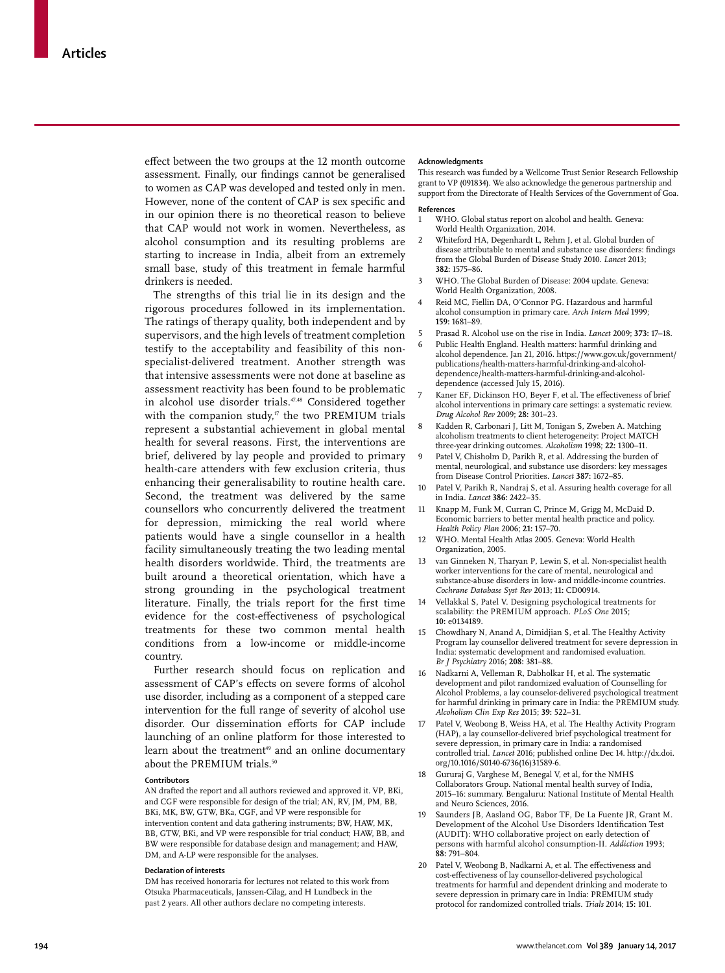effect between the two groups at the 12 month outcome assessment. Finally, our findings cannot be generalised to women as CAP was developed and tested only in men. However, none of the content of CAP is sex specific and in our opinion there is no theoretical reason to believe that CAP would not work in women. Nevertheless, as alcohol consumption and its resulting problems are starting to increase in India, albeit from an extremely small base, study of this treatment in female harmful drinkers is needed.

The strengths of this trial lie in its design and the rigorous procedures followed in its implementation. The ratings of therapy quality, both independent and by supervisors, and the high levels of treatment completion testify to the acceptability and feasibility of this nonspecialist-delivered treatment. Another strength was that intensive assessments were not done at baseline as assessment reactivity has been found to be problematic in alcohol use disorder trials.<sup>47,48</sup> Considered together with the companion study, $17$  the two PREMIUM trials represent a substantial achievement in global mental health for several reasons. First, the interventions are brief, delivered by lay people and provided to primary health-care attenders with few exclusion criteria, thus enhancing their generalisability to routine health care. Second, the treatment was delivered by the same counsellors who concurrently delivered the treatment for depression, mimicking the real world where patients would have a single counsellor in a health facility simultaneously treating the two leading mental health disorders worldwide. Third, the treatments are built around a theoretical orientation, which have a strong grounding in the psychological treatment literature. Finally, the trials report for the first time evidence for the cost-effectiveness of psychological treatments for these two common mental health conditions from a low-income or middle-income country.

Further research should focus on replication and assessment of CAP's effects on severe forms of alcohol use disorder, including as a component of a stepped care intervention for the full range of severity of alcohol use disorder. Our dissemination efforts for CAP include launching of an online platform for those interested to learn about the treatment<sup>49</sup> and an online documentary about the PREMIUM trials.<sup>50</sup>

#### **Contributors**

AN drafted the report and all authors reviewed and approved it. VP, BKi, and CGF were responsible for design of the trial; AN, RV, JM, PM, BB, BKi, MK, BW, GTW, BKa, CGF, and VP were responsible for intervention content and data gathering instruments; BW, HAW, MK, BB, GTW, BKi, and VP were responsible for trial conduct; HAW, BB, and BW were responsible for database design and management; and HAW, DM, and A-LP were responsible for the analyses.

#### **Declaration of interests**

DM has received honoraria for lectures not related to this work from Otsuka Pharmaceuticals, Janssen-Cilag, and H Lundbeck in the past 2 years. All other authors declare no competing interests.

#### **Acknowledgments**

This research was funded by a Wellcome Trust Senior Research Fellowship grant to VP (091834). We also acknowledge the generous partnership and support from the Directorate of Health Services of the Government of Goa.

#### **References**

- WHO. Global status report on alcohol and health. Geneva: World Health Organization, 2014.
- 2 Whiteford HA, Degenhardt L, Rehm J, et al. Global burden of disease attributable to mental and substance use disorders: findings from the Global Burden of Disease Study 2010. *Lancet* 2013; **382:** 1575–86.
- 3 WHO. The Global Burden of Disease: 2004 update. Geneva: World Health Organization, 2008.
- 4 Reid MC, Fiellin DA, O'Connor PG. Hazardous and harmful alcohol consumption in primary care. *Arch Intern Med* 1999; **159:** 1681–89.
- 5 Prasad R. Alcohol use on the rise in India. *Lancet* 2009; **373:** 17–18.
- 6 Public Health England. Health matters: harmful drinking and alcohol dependence. Jan 21, 2016. https://www.gov.uk/government/ publications/health-matters-harmful-drinking-and-alcoholdependence/health-matters-harmful-drinking-and-alcoholdependence (accessed July 15, 2016).
- Kaner EF, Dickinson HO, Beyer F, et al. The effectiveness of brief alcohol interventions in primary care settings: a systematic review. *Drug Alcohol Rev* 2009; **28:** 301–23.
- 8 Kadden R, Carbonari J, Litt M, Tonigan S, Zweben A. Matching alcoholism treatments to client heterogeneity: Project MATCH three-year drinking outcomes. *Alcoholism* 1998; **22:** 1300–11.
- Patel V, Chisholm D, Parikh R, et al. Addressing the burden of mental, neurological, and substance use disorders: key messages from Disease Control Priorities. *Lancet* **387:** 1672–85.
- 10 Patel V, Parikh R, Nandraj S, et al. Assuring health coverage for all in India. *Lancet* **386:** 2422–35.
- Knapp M, Funk M, Curran C, Prince M, Grigg M, McDaid D. Economic barriers to better mental health practice and policy. *Health Policy Plan* 2006; **21:** 157–70.
- 12 WHO. Mental Health Atlas 2005. Geneva: World Health Organization, 2005.
- 13 van Ginneken N, Tharyan P, Lewin S, et al. Non-specialist health worker interventions for the care of mental, neurological and substance-abuse disorders in low- and middle-income countries. *Cochrane Database Syst Rev* 2013; **11:** CD00914.
- Vellakkal S, Patel V. Designing psychological treatments for scalability: the PREMIUM approach. *PLoS One* 2015; **10:** e0134189.
- 15 Chowdhary N, Anand A, Dimidjian S, et al. The Healthy Activity Program lay counsellor delivered treatment for severe depression in India: systematic development and randomised evaluation. *Br J Psychiatry* 2016; **208:** 381–88.
- 16 Nadkarni A, Velleman R, Dabholkar H, et al. The systematic development and pilot randomized evaluation of Counselling for Alcohol Problems, a lay counselor-delivered psychological treatment for harmful drinking in primary care in India: the PREMIUM study. *Alcoholism Clin Exp Res* 2015; **39:** 522–31.
- Patel V, Weobong B, Weiss HA, et al. The Healthy Activity Program (HAP), a lay counsellor-delivered brief psychological treatment for severe depression, in primary care in India: a randomised controlled trial. *Lancet* 2016; published online Dec 14. http://dx.doi. org/10.1016/S0140-6736(16)31589-6.
- 18 Gururaj G, Varghese M, Benegal V, et al, for the NMHS Collaborators Group. National mental health survey of India, 2015–16: summary. Bengaluru: National Institute of Mental Health and Neuro Sciences, 2016.
- 19 Saunders JB, Aasland OG, Babor TF, De La Fuente JR, Grant M. Development of the Alcohol Use Disorders Identification Test (AUDIT): WHO collaborative project on early detection of persons with harmful alcohol consumption-II. *Addiction* 1993; **88:** 791–804.
- 20 Patel V, Weobong B, Nadkarni A, et al. The effectiveness and cost-effectiveness of lay counsellor-delivered psychological treatments for harmful and dependent drinking and moderate to severe depression in primary care in India: PREMIUM study protocol for randomized controlled trials. *Trials* 2014; **15:** 101.